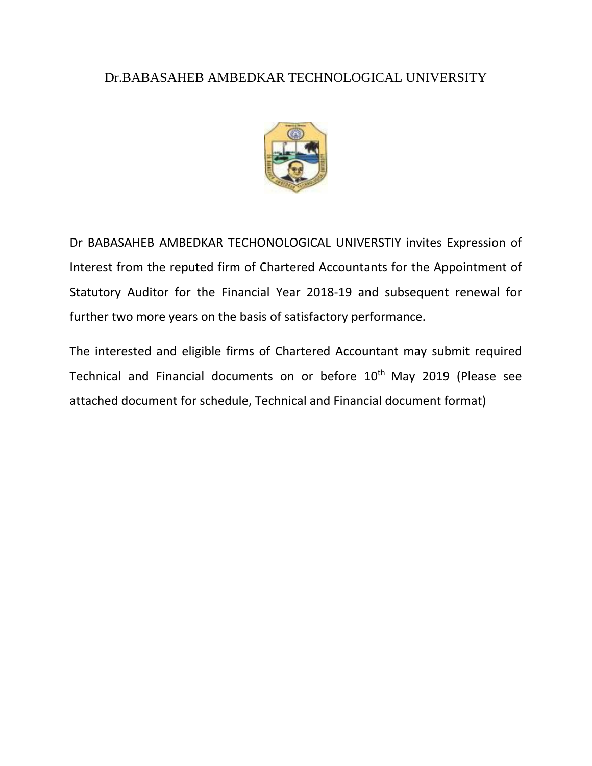## Dr.BABASAHEB AMBEDKAR TECHNOLOGICAL UNIVERSITY



Dr BABASAHEB AMBEDKAR TECHONOLOGICAL UNIVERSTIY invites Expression of Interest from the reputed firm of Chartered Accountants for the Appointment of Statutory Auditor for the Financial Year 2018-19 and subsequent renewal for further two more years on the basis of satisfactory performance.

The interested and eligible firms of Chartered Accountant may submit required Technical and Financial documents on or before 10<sup>th</sup> May 2019 (Please see attached document for schedule, Technical and Financial document format)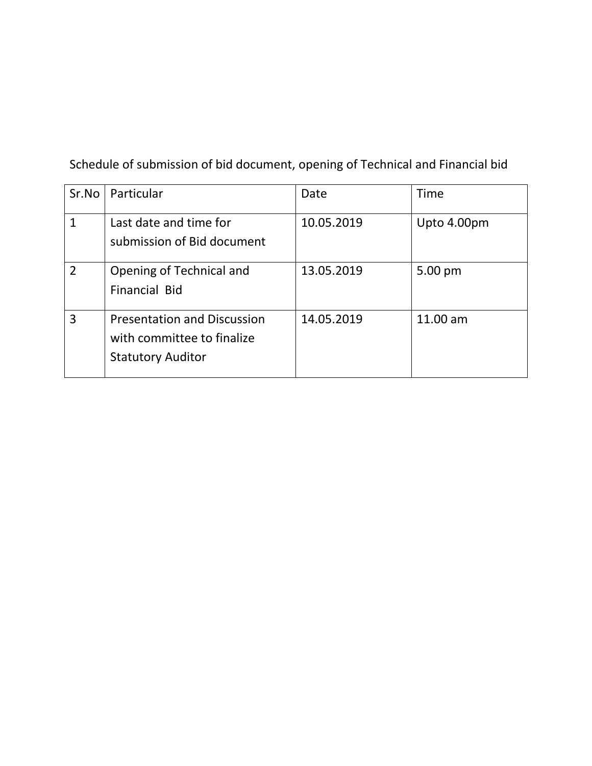Schedule of submission of bid document, opening of Technical and Financial bid

| Sr.No          | Particular                                                                                   | Date       | Time        |
|----------------|----------------------------------------------------------------------------------------------|------------|-------------|
| $\mathbf{1}$   | Last date and time for<br>submission of Bid document                                         | 10.05.2019 | Upto 4.00pm |
| $\overline{2}$ | Opening of Technical and<br><b>Financial Bid</b>                                             | 13.05.2019 | 5.00 pm     |
| 3              | <b>Presentation and Discussion</b><br>with committee to finalize<br><b>Statutory Auditor</b> | 14.05.2019 | 11.00 am    |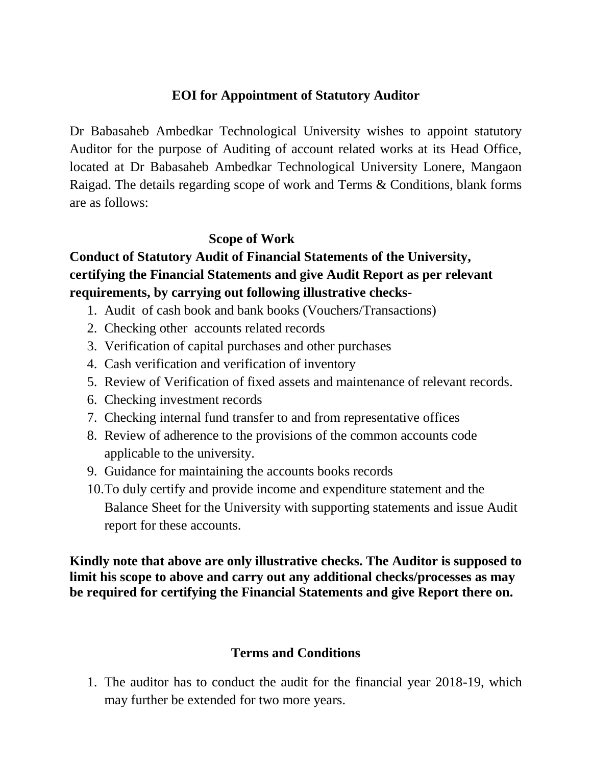### **EOI for Appointment of Statutory Auditor**

Dr Babasaheb Ambedkar Technological University wishes to appoint statutory Auditor for the purpose of Auditing of account related works at its Head Office, located at Dr Babasaheb Ambedkar Technological University Lonere, Mangaon Raigad. The details regarding scope of work and Terms & Conditions, blank forms are as follows:

#### **Scope of Work**

# **Conduct of Statutory Audit of Financial Statements of the University, certifying the Financial Statements and give Audit Report as per relevant requirements, by carrying out following illustrative checks-**

- 1. Audit of cash book and bank books (Vouchers/Transactions)
- 2. Checking other accounts related records
- 3. Verification of capital purchases and other purchases
- 4. Cash verification and verification of inventory
- 5. Review of Verification of fixed assets and maintenance of relevant records.
- 6. Checking investment records
- 7. Checking internal fund transfer to and from representative offices
- 8. Review of adherence to the provisions of the common accounts code applicable to the university.
- 9. Guidance for maintaining the accounts books records
- 10.To duly certify and provide income and expenditure statement and the Balance Sheet for the University with supporting statements and issue Audit report for these accounts.

**Kindly note that above are only illustrative checks. The Auditor is supposed to limit his scope to above and carry out any additional checks/processes as may be required for certifying the Financial Statements and give Report there on.**

#### **Terms and Conditions**

1. The auditor has to conduct the audit for the financial year 2018-19, which may further be extended for two more years.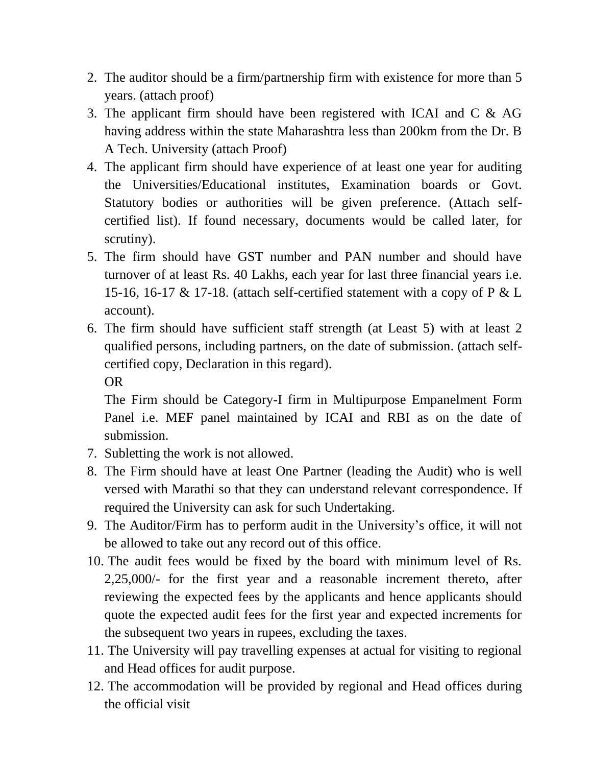- 2. The auditor should be a firm/partnership firm with existence for more than 5 years. (attach proof)
- 3. The applicant firm should have been registered with ICAI and C & AG having address within the state Maharashtra less than 200km from the Dr. B A Tech. University (attach Proof)
- 4. The applicant firm should have experience of at least one year for auditing the Universities/Educational institutes, Examination boards or Govt. Statutory bodies or authorities will be given preference. (Attach selfcertified list). If found necessary, documents would be called later, for scrutiny).
- 5. The firm should have GST number and PAN number and should have turnover of at least Rs. 40 Lakhs, each year for last three financial years i.e. 15-16, 16-17 & 17-18. (attach self-certified statement with a copy of P & L account).
- 6. The firm should have sufficient staff strength (at Least 5) with at least 2 qualified persons, including partners, on the date of submission. (attach selfcertified copy, Declaration in this regard).

OR

The Firm should be Category-I firm in Multipurpose Empanelment Form Panel i.e. MEF panel maintained by ICAI and RBI as on the date of submission.

- 7. Subletting the work is not allowed.
- 8. The Firm should have at least One Partner (leading the Audit) who is well versed with Marathi so that they can understand relevant correspondence. If required the University can ask for such Undertaking.
- 9. The Auditor/Firm has to perform audit in the University's office, it will not be allowed to take out any record out of this office.
- 10. The audit fees would be fixed by the board with minimum level of Rs. 2,25,000/- for the first year and a reasonable increment thereto, after reviewing the expected fees by the applicants and hence applicants should quote the expected audit fees for the first year and expected increments for the subsequent two years in rupees, excluding the taxes.
- 11. The University will pay travelling expenses at actual for visiting to regional and Head offices for audit purpose.
- 12. The accommodation will be provided by regional and Head offices during the official visit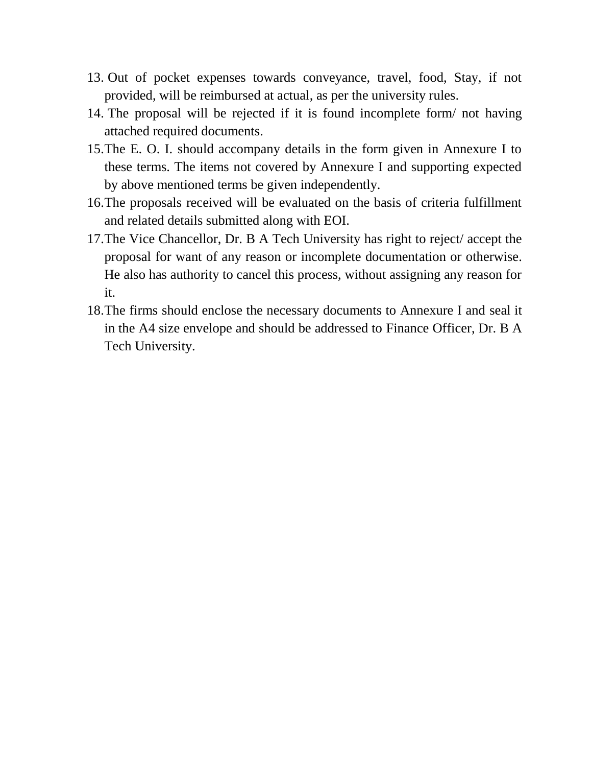- 13. Out of pocket expenses towards conveyance, travel, food, Stay, if not provided, will be reimbursed at actual, as per the university rules.
- 14. The proposal will be rejected if it is found incomplete form/ not having attached required documents.
- 15.The E. O. I. should accompany details in the form given in Annexure I to these terms. The items not covered by Annexure I and supporting expected by above mentioned terms be given independently.
- 16.The proposals received will be evaluated on the basis of criteria fulfillment and related details submitted along with EOI.
- 17.The Vice Chancellor, Dr. B A Tech University has right to reject/ accept the proposal for want of any reason or incomplete documentation or otherwise. He also has authority to cancel this process, without assigning any reason for it.
- 18.The firms should enclose the necessary documents to Annexure I and seal it in the A4 size envelope and should be addressed to Finance Officer, Dr. B A Tech University.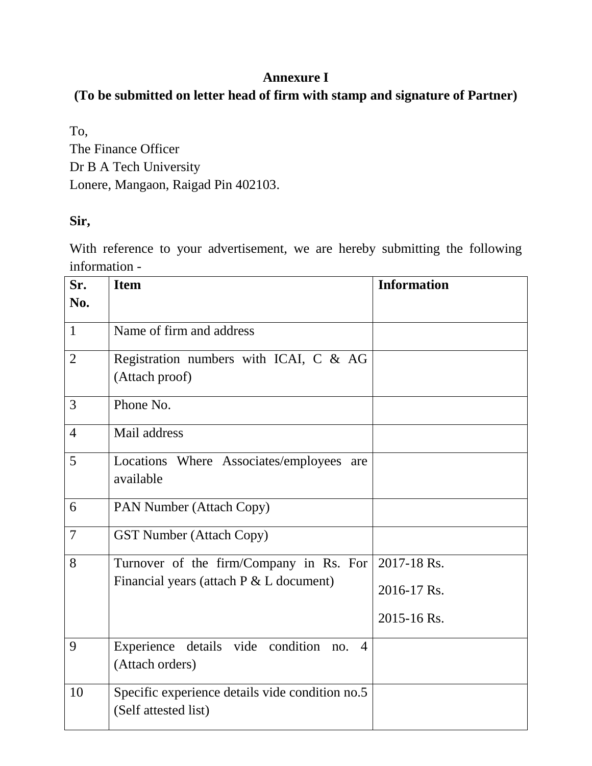## **Annexure I**

## **(To be submitted on letter head of firm with stamp and signature of Partner)**

To, The Finance Officer Dr B A Tech University Lonere, Mangaon, Raigad Pin 402103.

### **Sir,**

With reference to your advertisement, we are hereby submitting the following information -

| Sr.<br>No.     | <b>Item</b>                                                                      | <b>Information</b> |
|----------------|----------------------------------------------------------------------------------|--------------------|
| $\mathbf{1}$   | Name of firm and address                                                         |                    |
| $\overline{2}$ | Registration numbers with ICAI, C & AG<br>(Attach proof)                         |                    |
| 3              | Phone No.                                                                        |                    |
| $\overline{4}$ | Mail address                                                                     |                    |
| 5              | Locations Where Associates/employees are<br>available                            |                    |
| 6              | PAN Number (Attach Copy)                                                         |                    |
| $\overline{7}$ | <b>GST Number (Attach Copy)</b>                                                  |                    |
| 8              | Turnover of the firm/Company in Rs. For                                          | 2017-18 Rs.        |
|                | Financial years (attach $P \& L$ document)                                       | 2016-17 Rs.        |
|                |                                                                                  | 2015-16 Rs.        |
| 9              | details vide condition<br>Experience<br>$\overline{4}$<br>no.<br>(Attach orders) |                    |
| 10             | Specific experience details vide condition no.5<br>(Self attested list)          |                    |